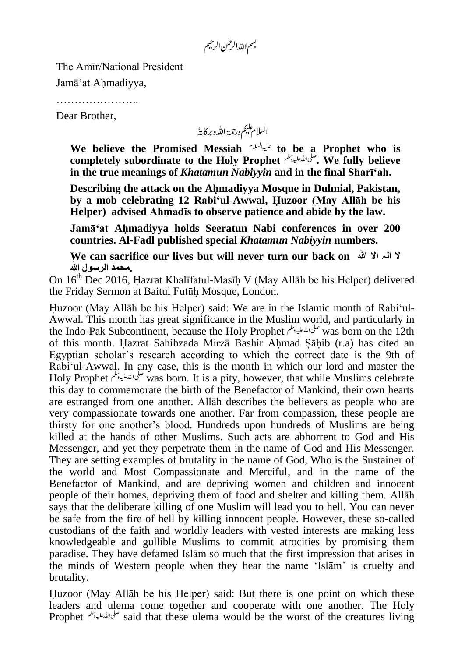بسم الله الرحمٰن الرحيم

The Amīr/National President

Jamā"at Ahmadiyya,

……………………

Dear Brother,

السلام عليم ورحمة الله وبركايةُ

**We believe the Promised Messiah to be a Prophet who is completely subordinate to the Holy Prophet . We fully believe in the true meanings of** *Khatamun Nabiyyin* **and in the final Sharī'ah.**

**Describing the attack on the Ahmadiyya Mosque in Dulmial, Pakistan, by a mob celebrating 12 Rabi'ul-Awwal, Huzoor (May Allāh be his Helper) advised Ahmadīs to observe patience and abide by the law.**

**Jamā'at Ahmadiyya holds Seeratun Nabi conferences in over 200 countries. Al-Fadl published special** *Khatamun Nabiyyin* **numbers.**

**We can sacrifice our lives but will never turn our back on ہللا اال الہ ال .محمد الرسول ہللا**

On 16th Dec 2016, Hazrat Khalīfatul-Masīh V (May Allāh be his Helper) delivered the Friday Sermon at Baitul Futūh Mosque, London.

Huzoor (May Allāh be his Helper) said: We are in the Islamic month of Rabi"ul-Awwal. This month has great significance in the Muslim world, and particularly in the Indo-Pak Subcontinent, because the Holy Prophet صلى الله عليه وسلم mas born on the 12th of this month. Hazrat Sahibzada Mirzā Bashir Ahmad Sahib (r.a) has cited an Egyptian scholar"s research according to which the correct date is the 9th of Rabi'ul-Awwal. In any case, this is the month in which our lord and master the Holy Prophet was born. It is a pity, however, that while Muslims celebrate this day to commemorate the birth of the Benefactor of Mankind, their own hearts are estranged from one another. Allāh describes the believers as people who are very compassionate towards one another. Far from compassion, these people are thirsty for one another"s blood. Hundreds upon hundreds of Muslims are being killed at the hands of other Muslims. Such acts are abhorrent to God and His Messenger, and yet they perpetrate them in the name of God and His Messenger. They are setting examples of brutality in the name of God, Who is the Sustainer of the world and Most Compassionate and Merciful, and in the name of the Benefactor of Mankind, and are depriving women and children and innocent people of their homes, depriving them of food and shelter and killing them. Allāh says that the deliberate killing of one Muslim will lead you to hell. You can never be safe from the fire of hell by killing innocent people. However, these so-called custodians of the faith and worldly leaders with vested interests are making less knowledgeable and gullible Muslims to commit atrocities by promising them paradise. They have defamed Islām so much that the first impression that arises in the minds of Western people when they hear the name "Islām" is cruelty and brutality.

Huzoor (May Allāh be his Helper) said: But there is one point on which these leaders and ulema come together and cooperate with one another. The Holy Prophet said that these ulema would be the worst of the creatures living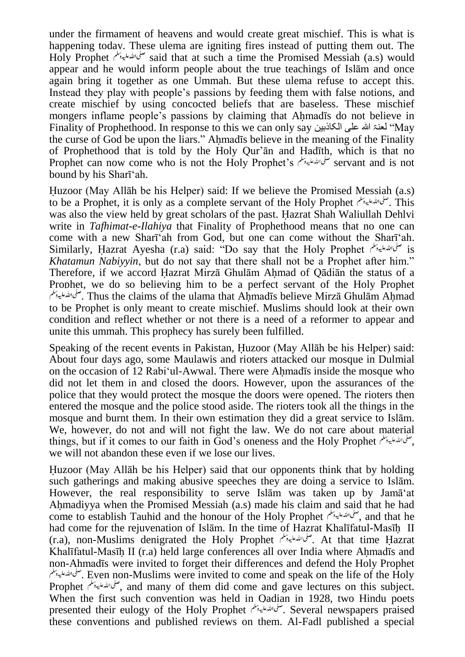under the firmament of heavens and would create great mischief. This is what is happening today. These ulema are igniting fires instead of putting them out. The Holy Prophet *صلى التَّعليدينل* said that at such a time the Promised Messiah (a.s) would appear and he would inform people about the true teachings of Islām and once again bring it together as one Ummah. But these ulema refuse to accept this. Instead they play with people"s passions by feeding them with false notions, and create mischief by using concocted beliefs that are baseless. These mischief mongers inflame people"s passions by claiming that Ahmadīs do not believe in Finality of Prophethood. In response to this we can only say الکاذبین علی ہللا لعنۃ" May the curse of God be upon the liars." Ahmadīs believe in the meaning of the Finality of Prophethood that is told by the Holy Qur"ān and Hadīth, which is that no Prophet can now come who is not the Holy Prophet's returns and is not bound by his Sharī"ah.

Huzoor (May Allāh be his Helper) said: If we believe the Promised Messiah (a.s) to be a Prophet, it is only as a complete servant of the Holy Prophet . This was also the view held by great scholars of the past. Hazrat Shah Waliullah Dehlvi write in *Tafhimat-e-Ilahiya* that Finality of Prophethood means that no one can come with a new Sharī"ah from God, but one can come without the Sharī"ah. Similarly, Hazrat Ayesha (r.a) said: "Do say that the Holy Prophet  $\epsilon$  is *Khatamun Nabiyyin*, but do not say that there shall not be a Prophet after him." Therefore, if we accord Hazrat Mirzā Ghulām Ahmad of Qādiān the status of a Prophet, we do so believing him to be a perfect servant of the Holy Prophet . Thus the claims of the ulama that Ahmadīs believe Mirzā Ghulām Ahmad to be Prophet is only meant to create mischief. Muslims should look at their own condition and reflect whether or not there is a need of a reformer to appear and unite this ummah. This prophecy has surely been fulfilled.

Speaking of the recent events in Pakistan, Huzoor (May Allāh be his Helper) said: About four days ago, some Maulawis and rioters attacked our mosque in Dulmial on the occasion of 12 Rabi"ul-Awwal. There were Ahmadīs inside the mosque who did not let them in and closed the doors. However, upon the assurances of the police that they would protect the mosque the doors were opened. The rioters then entered the mosque and the police stood aside. The rioters took all the things in the mosque and burnt them. In their own estimation they did a great service to Islām. We, however, do not and will not fight the law. We do not care about material things, but if it comes to our faith in God"s oneness and the Holy Prophet , we will not abandon these even if we lose our lives.

Huzoor (May Allāh be his Helper) said that our opponents think that by holding such gatherings and making abusive speeches they are doing a service to Islām. However, the real responsibility to serve Islām was taken up by Jamā"at Ahmadiyya when the Promised Messiah (a.s) made his claim and said that he had come to establish Tauhid and the honour of the Holy Prophet , and that he had come for the rejuvenation of Islām. In the time of Hazrat Khalīfatul-Masīh II (r.a), non-Muslims denigrated the Holy Prophet . At that time Hazrat Khalīfatul-Masīh II (r.a) held large conferences all over India where Ahmadīs and non-Ahmadīs were invited to forget their differences and defend the Holy Prophet . Even non-Muslims were invited to come and speak on the life of the Holy Prophet ,  $\omega_{\mathcal{P}}^{\mathcal{P}}$ , and many of them did come and gave lectures on this subject. When the first such convention was held in Qadian in 1928, two Hindu poets presented their eulogy of the Holy Prophet . Several newspapers praised these conventions and published reviews on them. Al-Fadl published a special